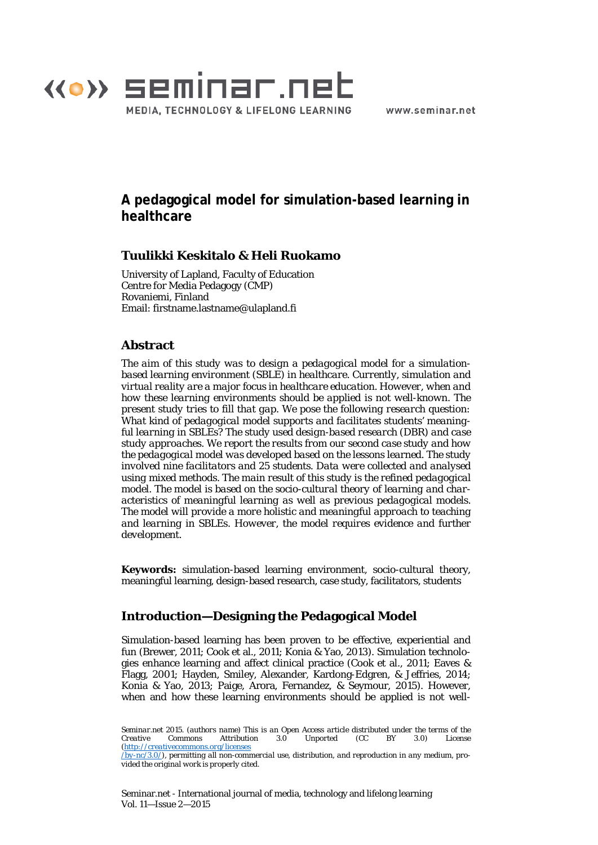

www.seminar.net

# **A pedagogical model for simulation-based learning in healthcare**

### **Tuulikki Keskitalo & Heli Ruokamo**

University of Lapland, Faculty of Education Centre for Media Pedagogy (CMP) Rovaniemi, Finland Email: firstname.lastname@ulapland.fi

# **Abstract**

*The aim of this study was to design a pedagogical model for a simulationbased learning environment (SBLE) in healthcare. Currently, simulation and virtual reality are a major focus in healthcare education. However, when and how these learning environments should be applied is not well-known. The present study tries to fill that gap. We pose the following research question: What kind of pedagogical model supports and facilitates students' meaningful learning in SBLEs? The study used design-based research (DBR) and case study approaches. We report the results from our second case study and how the pedagogical model was developed based on the lessons learned. The study involved nine facilitators and 25 students. Data were collected and analysed using mixed methods. The main result of this study is the refined pedagogical model. The model is based on the socio-cultural theory of learning and characteristics of meaningful learning as well as previous pedagogical models. The model will provide a more holistic and meaningful approach to teaching and learning in SBLEs. However, the model requires evidence and further development.*

**Keywords:** simulation-based learning environment, socio-cultural theory, meaningful learning, design-based research, case study, facilitators, students

# **Introduction—Designing the Pedagogical Model**

Simulation-based learning has been proven to be effective, experiential and fun (Brewer, 2011; Cook et al., 2011; Konia & Yao, 2013). Simulation technologies enhance learning and affect clinical practice (Cook et al., 2011; Eaves & Flagg, 2001; Hayden, Smiley, Alexander, Kardong-Edgren, & Jeffries, 2014; Konia & Yao, 2013; Paige, Arora, Fernandez, & Seymour, 2015). However, when and how these learning environments should be applied is not well-

Seminar.net - International journal of media, technology and lifelong learning Vol. 11—Issue 2—2015

*Seminar.net 2015. (authors name) This is an Open Access article distributed under the terms of the Creative Commons Attribution 3.0 Unported (CC BY 3.0) License [\(http://creativecommons.org/licenses](http://creativecommons.org/licenses/by-nc/3.0/)*

*[<sup>/</sup>by-nc/3.0/\)](http://creativecommons.org/licenses/by-nc/3.0/), permitting all non-commercial use, distribution, and reproduction in any medium, provided the original work is properly cited.*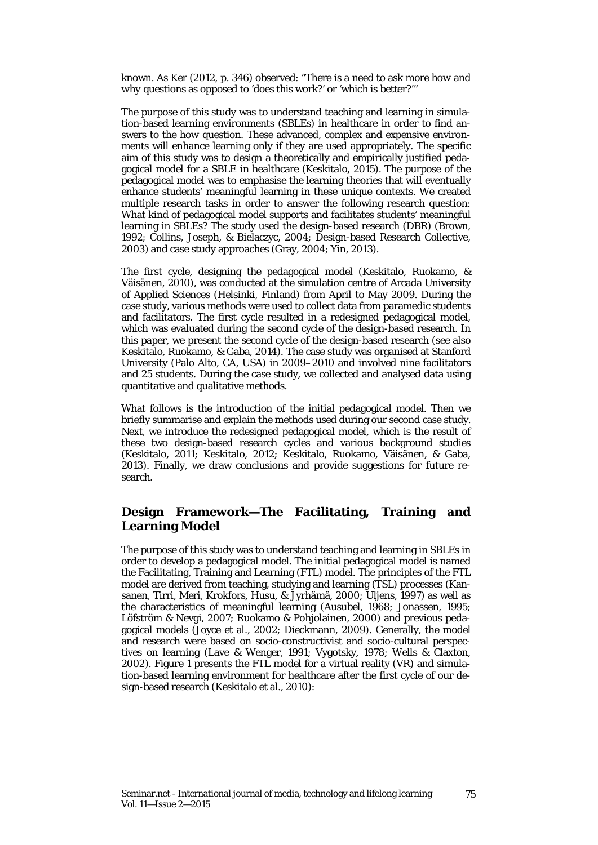known. As Ker (2012, p. 346) observed: "There is a need to ask more *how* and *why* questions as opposed to 'does this work?' or 'which is better?'"

The purpose of this study was to understand teaching and learning in simulation-based learning environments (SBLEs) in healthcare in order to find answers to the *how* question. These advanced, complex and expensive environments will enhance learning only if they are used appropriately. The specific aim of this study was to design a theoretically and empirically justified pedagogical model for a SBLE in healthcare (Keskitalo, 2015). The purpose of the pedagogical model was to emphasise the learning theories that will eventually enhance students' meaningful learning in these unique contexts. We created multiple research tasks in order to answer the following research question: What kind of pedagogical model supports and facilitates students' meaningful learning in SBLEs? The study used the design-based research (DBR) (Brown, 1992; Collins, Joseph, & Bielaczyc, 2004; Design-based Research Collective, 2003) and case study approaches (Gray, 2004; Yin, 2013).

The first cycle, designing the pedagogical model (Keskitalo, Ruokamo, & Väisänen, 2010), was conducted at the simulation centre of Arcada University of Applied Sciences (Helsinki, Finland) from April to May 2009. During the case study, various methods were used to collect data from paramedic students and facilitators. The first cycle resulted in a redesigned pedagogical model, which was evaluated during the second cycle of the design-based research. In this paper, we present the second cycle of the design-based research (see also Keskitalo, Ruokamo, & Gaba, 2014). The case study was organised at Stanford University (Palo Alto, CA, USA) in 2009–2010 and involved nine facilitators and 25 students. During the case study, we collected and analysed data using quantitative and qualitative methods.

What follows is the introduction of the initial pedagogical model. Then we briefly summarise and explain the methods used during our second case study. Next, we introduce the redesigned pedagogical model, which is the result of these two design-based research cycles and various background studies (Keskitalo, 2011; Keskitalo, 2012; Keskitalo, Ruokamo, Väisänen, & Gaba, 2013). Finally, we draw conclusions and provide suggestions for future research.

### **Design Framework—The Facilitating, Training and Learning Model**

The purpose of this study was to understand teaching and learning in SBLEs in order to develop a pedagogical model. The initial pedagogical model is named the Facilitating, Training and Learning (FTL) model. The principles of the FTL model are derived from teaching, studying and learning (TSL) processes (Kansanen, Tirri, Meri, Krokfors, Husu, & Jyrhämä, 2000; Uljens, 1997) as well as the characteristics of meaningful learning (Ausubel, 1968; Jonassen, 1995; Löfström & Nevgi, 2007; Ruokamo & Pohjolainen, 2000) and previous pedagogical models (Joyce et al., 2002; Dieckmann, 2009). Generally, the model and research were based on socio-constructivist and socio-cultural perspectives on learning (Lave & Wenger, 1991; Vygotsky, 1978; Wells & Claxton, 2002). Figure 1 presents the FTL model for a virtual reality (VR) and simulation-based learning environment for healthcare after the first cycle of our design-based research (Keskitalo et al., 2010):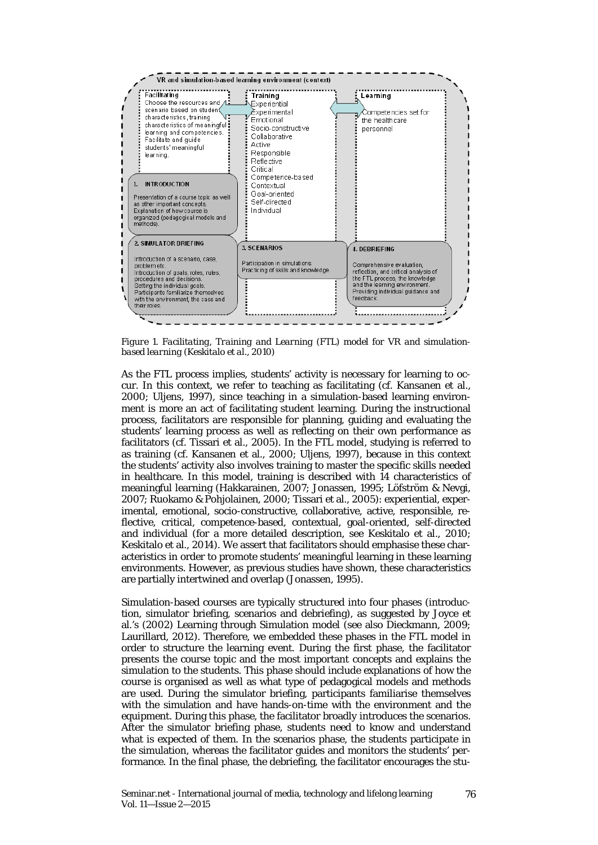

*Figure 1. Facilitating, Training and Learning (FTL) model for VR and simulationbased learning (Keskitalo et al., 2010)*

As the FTL process implies, students' activity is necessary for learning to occur. In this context, we refer to teaching as facilitating (cf. Kansanen et al., 2000; Uljens, 1997), since teaching in a simulation-based learning environment is more an act of facilitating student learning. During the instructional process, facilitators are responsible for planning, guiding and evaluating the students' learning process as well as reflecting on their own performance as facilitators (cf. Tissari et al., 2005). In the FTL model, studying is referred to as training (cf. Kansanen et al., 2000; Uljens, 1997), because in this context the students' activity also involves training to master the specific skills needed in healthcare. In this model, training is described with 14 characteristics of meaningful learning (Hakkarainen, 2007; Jonassen, 1995; Löfström & Nevgi, 2007; Ruokamo & Pohjolainen, 2000; Tissari et al., 2005): experiential, experimental, emotional, socio-constructive, collaborative, active, responsible, reflective, critical, competence-based, contextual, goal-oriented, self-directed and individual (for a more detailed description, see Keskitalo et al., 2010; Keskitalo et al., 2014)*.* We assert that facilitators should emphasise these characteristics in order to promote students' meaningful learning in these learning environments. However, as previous studies have shown, these characteristics are partially intertwined and overlap (Jonassen, 1995).

Simulation-based courses are typically structured into four phases (introduction, simulator briefing, scenarios and debriefing), as suggested by Joyce et al.'s (2002) Learning through Simulation model (see also Dieckmann, 2009; Laurillard, 2012). Therefore, we embedded these phases in the FTL model in order to structure the learning event. During the first phase, the facilitator presents the course topic and the most important concepts and explains the simulation to the students. This phase should include explanations of how the course is organised as well as what type of pedagogical models and methods are used. During the simulator briefing, participants familiarise themselves with the simulation and have hands-on-time with the environment and the equipment. During this phase, the facilitator broadly introduces the scenarios. After the simulator briefing phase, students need to know and understand what is expected of them. In the scenarios phase, the students participate in the simulation, whereas the facilitator guides and monitors the students' performance. In the final phase, the debriefing, the facilitator encourages the stu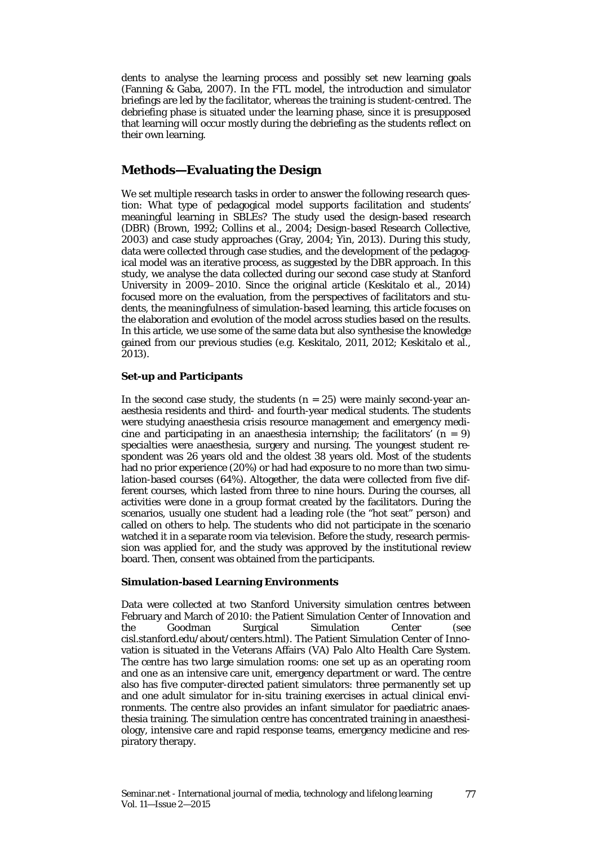dents to analyse the learning process and possibly set new learning goals (Fanning & Gaba, 2007). In the FTL model, the introduction and simulator briefings are led by the facilitator, whereas the training is student-centred. The debriefing phase is situated under the learning phase, since it is presupposed that learning will occur mostly during the debriefing as the students reflect on their own learning.

### **Methods—Evaluating the Design**

We set multiple research tasks in order to answer the following research question: What type of pedagogical model supports facilitation and students' meaningful learning in SBLEs? The study used the design-based research (DBR) (Brown, 1992; Collins et al., 2004; Design-based Research Collective, 2003) and case study approaches (Gray, 2004; Yin, 2013). During this study, data were collected through case studies, and the development of the pedagogical model was an iterative process, as suggested by the DBR approach. In this study, we analyse the data collected during our second case study at Stanford University in 2009–2010. Since the original article (Keskitalo et al., 2014) focused more on the evaluation, from the perspectives of facilitators and students, the meaningfulness of simulation-based learning, this article focuses on the elaboration and evolution of the model across studies based on the results. In this article, we use some of the same data but also synthesise the knowledge gained from our previous studies (e.g. Keskitalo, 2011, 2012; Keskitalo et al., 2013).

#### **Set-up and Participants**

In the second case study, the students  $(n = 25)$  were mainly second-year anaesthesia residents and third- and fourth-year medical students. The students were studying anaesthesia crisis resource management and emergency medicine and participating in an anaesthesia internship; the facilitators'  $(n = 9)$ specialties were anaesthesia, surgery and nursing. The youngest student respondent was 26 years old and the oldest 38 years old. Most of the students had no prior experience (20%) or had had exposure to no more than two simulation-based courses (64%). Altogether, the data were collected from five different courses, which lasted from three to nine hours. During the courses, all activities were done in a group format created by the facilitators. During the scenarios, usually one student had a leading role (the "hot seat" person) and called on others to help. The students who did not participate in the scenario watched it in a separate room via television. Before the study, research permission was applied for, and the study was approved by the institutional review board. Then, consent was obtained from the participants.

#### **Simulation-based Learning Environments**

Data were collected at two Stanford University simulation centres between February and March of 2010: the Patient Simulation Center of Innovation and the Goodman Surgical Simulation Center (see cisl.stanford.edu/about/centers.html). The Patient Simulation Center of Innovation is situated in the Veterans Affairs (VA) Palo Alto Health Care System. The centre has two large simulation rooms: one set up as an operating room and one as an intensive care unit, emergency department or ward. The centre also has five computer-directed patient simulators: three permanently set up and one adult simulator for in-situ training exercises in actual clinical environments. The centre also provides an infant simulator for paediatric anaesthesia training. The simulation centre has concentrated training in anaesthesiology, intensive care and rapid response teams, emergency medicine and respiratory therapy.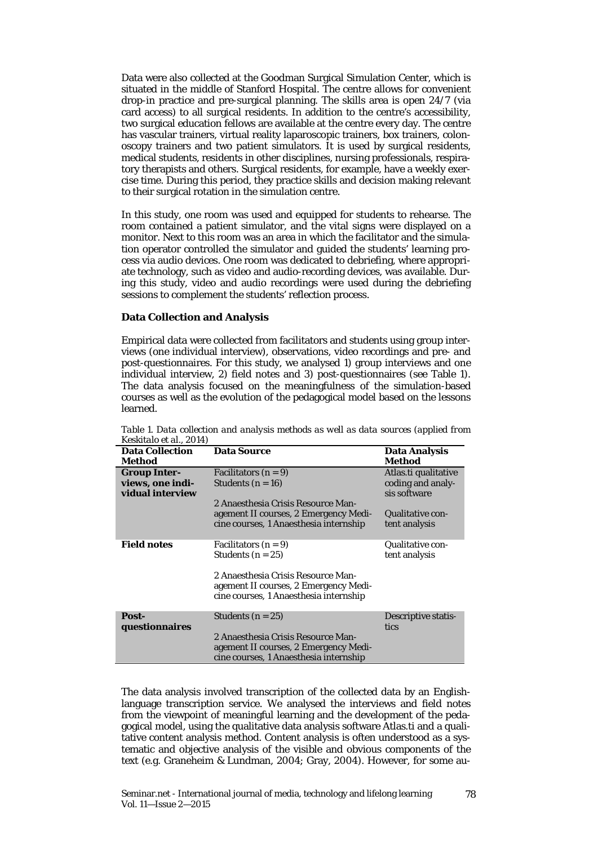Data were also collected at the Goodman Surgical Simulation Center, which is situated in the middle of Stanford Hospital. The centre allows for convenient drop-in practice and pre-surgical planning. The skills area is open 24/7 (via card access) to all surgical residents. In addition to the centre's accessibility, two surgical education fellows are available at the centre every day. The centre has vascular trainers, virtual reality laparoscopic trainers, box trainers, colonoscopy trainers and two patient simulators. It is used by surgical residents, medical students, residents in other disciplines, nursing professionals, respiratory therapists and others. Surgical residents, for example, have a weekly exercise time. During this period, they practice skills and decision making relevant to their surgical rotation in the simulation centre.

In this study, one room was used and equipped for students to rehearse. The room contained a patient simulator, and the vital signs were displayed on a monitor. Next to this room was an area in which the facilitator and the simulation operator controlled the simulator and guided the students' learning process via audio devices. One room was dedicated to debriefing, where appropriate technology, such as video and audio-recording devices, was available. During this study, video and audio recordings were used during the debriefing sessions to complement the students' reflection process.

#### **Data Collection and Analysis**

Empirical data were collected from facilitators and students using group interviews (one individual interview), observations, video recordings and pre- and post-questionnaires. For this study, we analysed 1) group interviews and one individual interview, 2) field notes and 3) post-questionnaires (see Table 1). The data analysis focused on the meaningfulness of the simulation-based courses as well as the evolution of the pedagogical model based on the lessons learned.

| $\Lambda$ conitaiu ci al., $\lambda$ UI+)                   |                                                                                                                                                                      |                                                                                                       |
|-------------------------------------------------------------|----------------------------------------------------------------------------------------------------------------------------------------------------------------------|-------------------------------------------------------------------------------------------------------|
| <b>Data Collection</b><br>Method                            | <b>Data Source</b>                                                                                                                                                   | <b>Data Analysis</b><br>Method                                                                        |
| <b>Group Inter-</b><br>views, one indi-<br>vidual interview | Facilitators $(n=9)$<br>Students $(n=16)$<br>2 Anaesthesia Crisis Resource Man-<br>agement II courses, 2 Emergency Medi-<br>cine courses, 1 Anaesthesia internship   | Atlas.ti qualitative<br>coding and analy-<br>sis software<br><b>Qualitative con-</b><br>tent analysis |
| <b>Field notes</b>                                          | Facilitators $(n=9)$<br>Students $(n = 25)$<br>2 Anaesthesia Crisis Resource Man-<br>agement II courses, 2 Emergency Medi-<br>cine courses, 1 Anaesthesia internship | <b>Qualitative con-</b><br>tent analysis                                                              |
| Post-<br>questionnaires                                     | Students $(n = 25)$<br>2 Anaesthesia Crisis Resource Man-<br>agement II courses, 2 Emergency Medi-<br>cine courses, 1 Anaesthesia internship                         | <b>Descriptive statis-</b><br>tics                                                                    |

*Table 1. Data collection and analysis methods as well as data sources (applied from Keskitalo et al., 2014)*

The data analysis involved transcription of the collected data by an Englishlanguage transcription service. We analysed the interviews and field notes from the viewpoint of meaningful learning and the development of the pedagogical model, using the qualitative data analysis software Atlas.ti and a qualitative content analysis method. Content analysis is often understood as a systematic and objective analysis of the visible and obvious components of the text (e.g. Graneheim & Lundman, 2004; Gray, 2004). However, for some au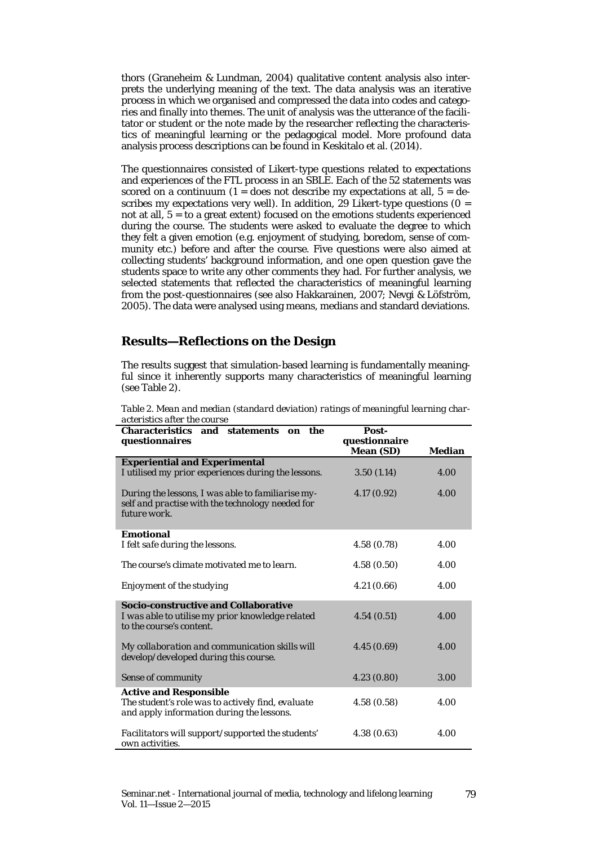thors (Graneheim & Lundman, 2004) qualitative content analysis also interprets the underlying meaning of the text. The data analysis was an iterative process in which we organised and compressed the data into codes and categories and finally into themes. The unit of analysis was the utterance of the facilitator or student or the note made by the researcher reflecting the characteristics of meaningful learning or the pedagogical model. More profound data analysis process descriptions can be found in Keskitalo et al. (2014).

The questionnaires consisted of Likert-type questions related to expectations and experiences of the FTL process in an SBLE. Each of the 52 statements was scored on a continuum  $(1 =$  does not describe my expectations at all,  $5 =$  describes my expectations very well). In addition, 29 Likert-type questions ( $0 =$ not at all,  $5 =$  to a great extent) focused on the emotions students experienced during the course. The students were asked to evaluate the degree to which they felt a given emotion (e.g. enjoyment of studying, boredom, sense of community etc.) before and after the course. Five questions were also aimed at collecting students' background information, and one open question gave the students space to write any other comments they had. For further analysis, we selected statements that reflected the characteristics of meaningful learning from the post-questionnaires (see also Hakkarainen, 2007; Nevgi & Löfström, 2005). The data were analysed using means, medians and standard deviations.

### **Results—Reflections on the Design**

The results suggest that simulation-based learning is fundamentally meaningful since it inherently supports many characteristics of meaningful learning (see Table 2).

| <b>Characteristics</b><br>and statements<br>the<br>on                | Post-            |        |
|----------------------------------------------------------------------|------------------|--------|
| questionnaires                                                       | questionnaire    |        |
|                                                                      | <b>Mean (SD)</b> | Median |
| <b>Experiential and Experimental</b>                                 |                  |        |
| I utilised my prior experiences during the lessons.                  | 3.50(1.14)       | 4.00   |
| During the lessons, I was able to familiarise my-                    | 4.17(0.92)       | 4.00   |
| self and practise with the technology needed for                     |                  |        |
| future work.                                                         |                  |        |
| <b>Emotional</b>                                                     |                  |        |
| I felt safe during the lessons.                                      | 4.58(0.78)       | 4.00   |
|                                                                      |                  |        |
| The course's climate motivated me to learn.                          | 4.58(0.50)       | 4.00   |
| Enjoyment of the studying                                            | 4.21(0.66)       | 4.00   |
|                                                                      |                  |        |
| <b>Socio-constructive and Collaborative</b>                          |                  |        |
| I was able to utilise my prior knowledge related                     | 4.54(0.51)       | 4.00   |
| to the course's content.                                             |                  |        |
| My collaboration and communication skills will                       | 4.45(0.69)       | 4.00   |
| develop/developed during this course.                                |                  |        |
|                                                                      |                  |        |
| Sense of community                                                   | 4.23(0.80)       | 3.00   |
| <b>Active and Responsible</b>                                        |                  |        |
| The student's role was to actively find, evaluate                    | 4.58(0.58)       | 4.00   |
| and apply information during the lessons.                            |                  |        |
|                                                                      | 4.38(0.63)       | 4.00   |
| Facilitators will support/supported the students'<br>own activities. |                  |        |
|                                                                      |                  |        |

*Table 2. Mean and median (standard deviation) ratings of meaningful learning characteristics after the course*

79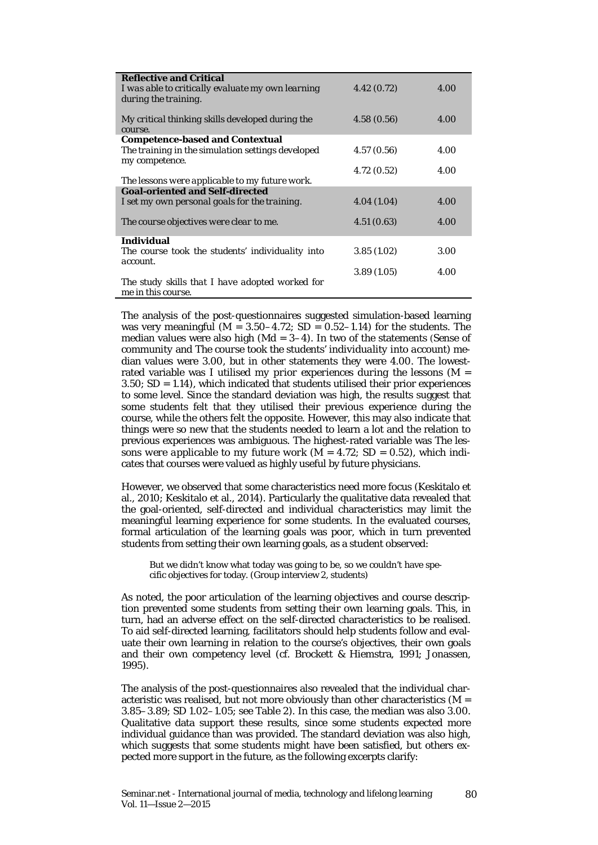| <b>Reflective and Critical</b>                    |            |      |
|---------------------------------------------------|------------|------|
| I was able to critically evaluate my own learning | 4.42(0.72) | 4.00 |
| during the training.                              |            |      |
|                                                   |            |      |
| My critical thinking skills developed during the  | 4.58(0.56) | 4.00 |
| course.                                           |            |      |
| <b>Competence-based and Contextual</b>            |            |      |
| The training in the simulation settings developed | 4.57(0.56) | 4.00 |
| my competence.                                    |            |      |
|                                                   | 4.72(0.52) | 4.00 |
| The lessons were applicable to my future work.    |            |      |
| <b>Goal-oriented and Self-directed</b>            |            |      |
| I set my own personal goals for the training.     | 4.04(1.04) | 4.00 |
|                                                   |            |      |
| The course objectives were clear to me.           | 4.51(0.63) | 4.00 |
|                                                   |            |      |
| <b>Individual</b>                                 |            |      |
| The course took the students' individuality into  | 3.85(1.02) | 3.00 |
| account.                                          |            |      |
|                                                   | 3.89(1.05) | 4.00 |
| The study skills that I have adopted worked for   |            |      |
| me in this course.                                |            |      |

The analysis of the post-questionnaires suggested simulation-based learning was very meaningful ( $M = 3.50 - 4.72$ ; SD = 0.52-1.14) for the students. The median values were also high (Md = 3–4). In two of the statements *(Sense of community* and *The course took the students' individuality into account)* median values were 3.00, but in other statements they were 4.00. The lowestrated variable was *I utilised my prior experiences during the lessons* (M =  $3.50$ ;  $SD = 1.14$ ), which indicated that students utilised their prior experiences to some level. Since the standard deviation was high, the results suggest that some students felt that they utilised their previous experience during the course, while the others felt the opposite. However, this may also indicate that things were so new that the students needed to learn a lot and the relation to previous experiences was ambiguous. The highest-rated variable was *The lessons were applicable to my future work*  $(M = 4.72; SD = 0.52)$ , which indicates that courses were valued as highly useful by future physicians.

However, we observed that some characteristics need more focus (Keskitalo et al., 2010; Keskitalo et al., 2014). Particularly the qualitative data revealed that the goal-oriented, self-directed and individual characteristics may limit the meaningful learning experience for some students. In the evaluated courses, formal articulation of the learning goals was poor, which in turn prevented students from setting their own learning goals, as a student observed:

But we didn't know what today was going to be, so we couldn't have specific objectives for today. (Group interview 2, students)

As noted, the poor articulation of the learning objectives and course description prevented some students from setting their own learning goals. This, in turn, had an adverse effect on the self-directed characteristics to be realised. To aid self-directed learning, facilitators should help students follow and evaluate their own learning in relation to the course's objectives, their own goals and their own competency level (cf. Brockett & Hiemstra, 1991; Jonassen, 1995).

The analysis of the post-questionnaires also revealed that the individual characteristic was realised, but not more obviously than other characteristics ( $M =$ 3.85–3.89; SD 1.02–1.05; see Table 2). In this case, the median was also 3.00. Qualitative data support these results, since some students expected more individual guidance than was provided. The standard deviation was also high, which suggests that some students might have been satisfied, but others expected more support in the future, as the following excerpts clarify: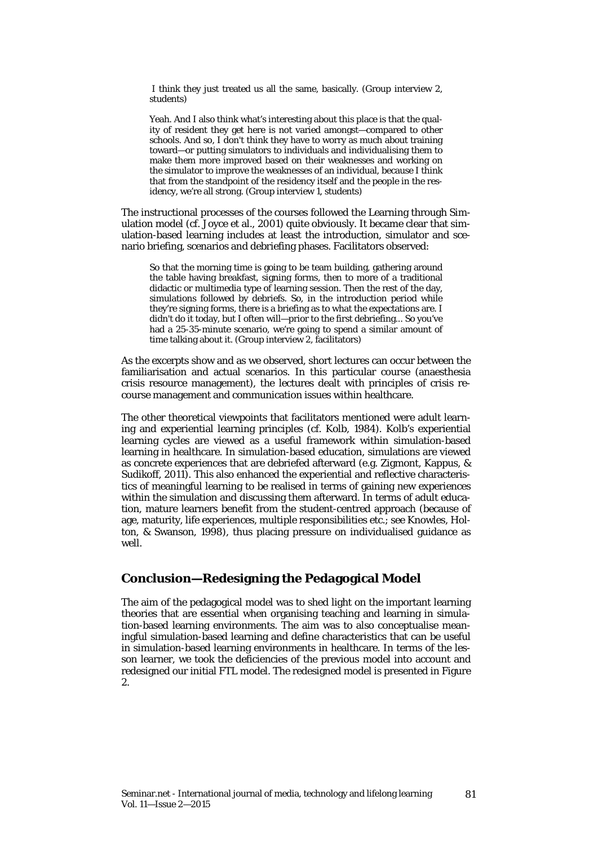I think they just treated us all the same, basically. (Group interview 2, students)

Yeah. And I also think what's interesting about this place is that the quality of resident they get here is not varied amongst—compared to other schools. And so, I don't think they have to worry as much about training toward—or putting simulators to individuals and individualising them to make them more improved based on their weaknesses and working on the simulator to improve the weaknesses of an individual, because I think that from the standpoint of the residency itself and the people in the residency, we're all strong. (Group interview 1, students)

The instructional processes of the courses followed the Learning through Simulation model (cf. Joyce et al., 2001) quite obviously. It became clear that simulation-based learning includes at least the introduction, simulator and scenario briefing, scenarios and debriefing phases. Facilitators observed:

So that the morning time is going to be team building, gathering around the table having breakfast, signing forms, then to more of a traditional didactic or multimedia type of learning session. Then the rest of the day, simulations followed by debriefs. So, in the introduction period while they're signing forms, there is a briefing as to what the expectations are. I didn't do it today, but I often will—prior to the first debriefing... So you've had a 25-35-minute scenario, we're going to spend a similar amount of time talking about it. (Group interview 2, facilitators)

As the excerpts show and as we observed, short lectures can occur between the familiarisation and actual scenarios. In this particular course (anaesthesia crisis resource management), the lectures dealt with principles of crisis recourse management and communication issues within healthcare.

The other theoretical viewpoints that facilitators mentioned were adult learning and experiential learning principles (cf. Kolb, 1984). Kolb's experiential learning cycles are viewed as a useful framework within simulation-based learning in healthcare. In simulation-based education, simulations are viewed as concrete experiences that are debriefed afterward (e.g. Zigmont, Kappus, & Sudikoff, 2011). This also enhanced the experiential and reflective characteristics of meaningful learning to be realised in terms of gaining new experiences within the simulation and discussing them afterward. In terms of adult education, mature learners benefit from the student-centred approach (because of age, maturity, life experiences, multiple responsibilities etc.; see Knowles, Holton, & Swanson, 1998), thus placing pressure on individualised guidance as well.

### **Conclusion—Redesigning the Pedagogical Model**

The aim of the pedagogical model was to shed light on the important learning theories that are essential when organising teaching and learning in simulation-based learning environments. The aim was to also conceptualise meaningful simulation-based learning and define characteristics that can be useful in simulation-based learning environments in healthcare. In terms of the lesson learner, we took the deficiencies of the previous model into account and redesigned our initial FTL model. The redesigned model is presented in Figure 2.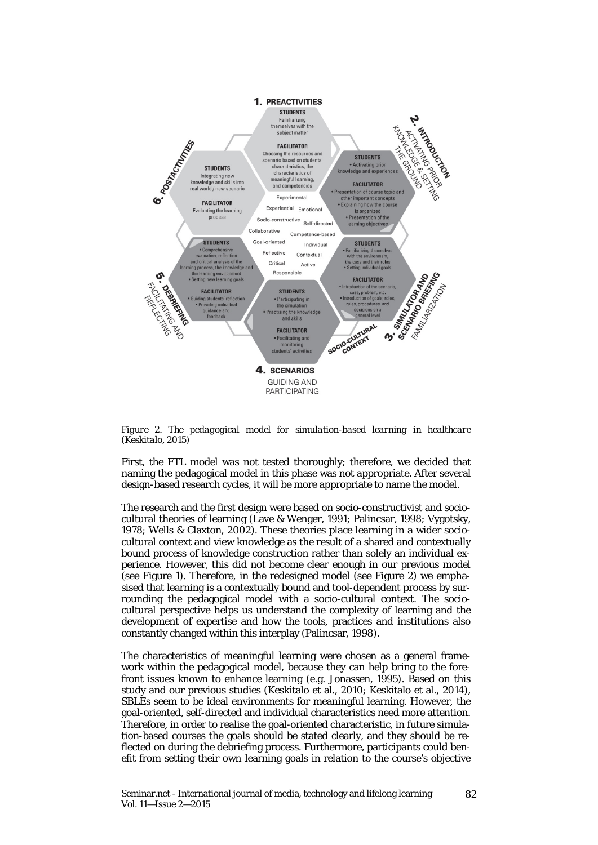

*Figure 2. The pedagogical model for simulation-based learning in healthcare (Keskitalo, 2015)*

First, the FTL model was not tested thoroughly; therefore, we decided that naming the pedagogical model in this phase was not appropriate. After several design-based research cycles, it will be more appropriate to name the model.

The research and the first design were based on socio-constructivist and sociocultural theories of learning (Lave & Wenger, 1991; Palincsar, 1998; Vygotsky, 1978; Wells & Claxton, 2002). These theories place learning in a wider sociocultural context and view knowledge as the result of a shared and contextually bound process of knowledge construction rather than solely an individual experience. However, this did not become clear enough in our previous model (see Figure 1). Therefore, in the redesigned model (see Figure 2) we emphasised that learning is a contextually bound and tool-dependent process by surrounding the pedagogical model with a socio-cultural context. The sociocultural perspective helps us understand the complexity of learning and the development of expertise and how the tools, practices and institutions also constantly changed within this interplay (Palincsar, 1998).

The characteristics of meaningful learning were chosen as a general framework within the pedagogical model, because they can help bring to the forefront issues known to enhance learning (e.g. Jonassen, 1995). Based on this study and our previous studies (Keskitalo et al., 2010; Keskitalo et al., 2014), SBLEs seem to be ideal environments for meaningful learning. However, the goal-oriented, self-directed and individual characteristics need more attention. Therefore, in order to realise the goal-oriented characteristic, in future simulation-based courses the goals should be stated clearly, and they should be reflected on during the debriefing process. Furthermore, participants could benefit from setting their own learning goals in relation to the course's objective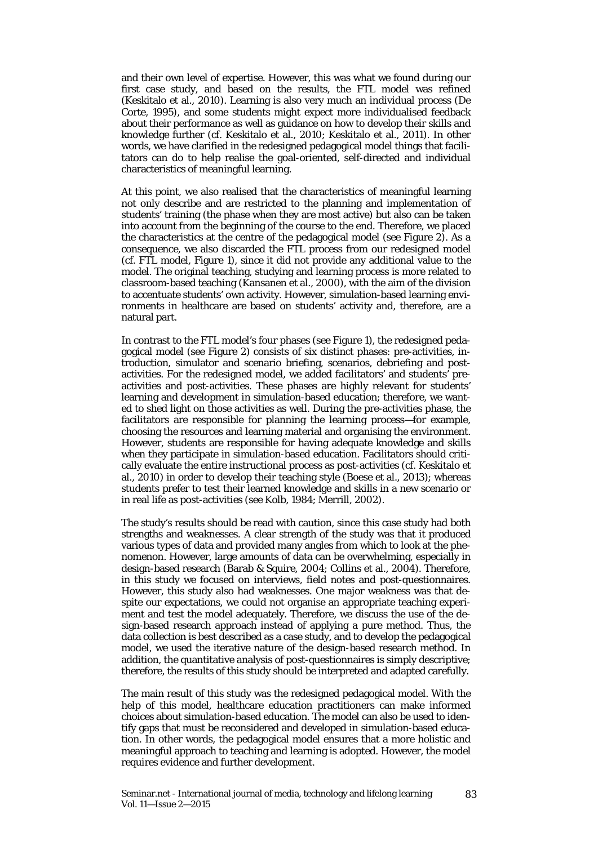and their own level of expertise. However, this was what we found during our first case study, and based on the results, the FTL model was refined (Keskitalo et al., 2010). Learning is also very much an individual process (De Corte, 1995), and some students might expect more individualised feedback about their performance as well as guidance on how to develop their skills and knowledge further (cf. Keskitalo et al., 2010; Keskitalo et al., 2011). In other words, we have clarified in the redesigned pedagogical model things that facilitators can do to help realise the goal-oriented, self-directed and individual characteristics of meaningful learning.

At this point, we also realised that the characteristics of meaningful learning not only describe and are restricted to the planning and implementation of students' training (the phase when they are most active) but also can be taken into account from the beginning of the course to the end. Therefore, we placed the characteristics at the centre of the pedagogical model (see Figure 2). As a consequence, we also discarded the FTL process from our redesigned model (cf. FTL model, Figure 1), since it did not provide any additional value to the model. The original teaching, studying and learning process is more related to classroom-based teaching (Kansanen et al., 2000), with the aim of the division to accentuate students' own activity. However, simulation-based learning environments in healthcare are based on students' activity and, therefore, are a natural part.

In contrast to the FTL model's four phases (see Figure 1), the redesigned pedagogical model (see Figure 2) consists of six distinct phases: pre-activities, introduction, simulator and scenario briefing, scenarios, debriefing and postactivities. For the redesigned model, we added facilitators' and students' preactivities and post-activities. These phases are highly relevant for students' learning and development in simulation-based education; therefore, we wanted to shed light on those activities as well. During the pre-activities phase, the facilitators are responsible for planning the learning process—for example, choosing the resources and learning material and organising the environment. However, students are responsible for having adequate knowledge and skills when they participate in simulation-based education. Facilitators should critically evaluate the entire instructional process as post-activities (cf. Keskitalo et al., 2010) in order to develop their teaching style (Boese et al., 2013); whereas students prefer to test their learned knowledge and skills in a new scenario or in real life as post-activities (see Kolb, 1984; Merrill, 2002).

The study's results should be read with caution, since this case study had both strengths and weaknesses. A clear strength of the study was that it produced various types of data and provided many angles from which to look at the phenomenon. However, large amounts of data can be overwhelming, especially in design-based research (Barab & Squire, 2004; Collins et al., 2004). Therefore, in this study we focused on interviews, field notes and post-questionnaires. However, this study also had weaknesses. One major weakness was that despite our expectations, we could not organise an appropriate teaching experiment and test the model adequately. Therefore, we discuss the use of the design-based research approach instead of applying a pure method. Thus, the data collection is best described as a case study, and to develop the pedagogical model, we used the iterative nature of the design-based research method. In addition, the quantitative analysis of post-questionnaires is simply descriptive; therefore, the results of this study should be interpreted and adapted carefully.

The main result of this study was the redesigned pedagogical model. With the help of this model, healthcare education practitioners can make informed choices about simulation-based education. The model can also be used to identify gaps that must be reconsidered and developed in simulation-based education. In other words, the pedagogical model ensures that a more holistic and meaningful approach to teaching and learning is adopted. However, the model requires evidence and further development.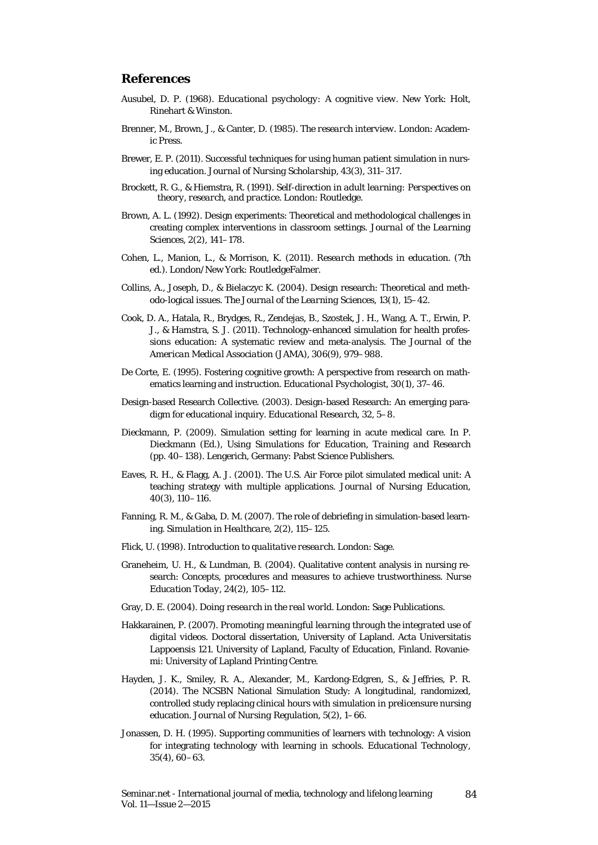### **References**

- Ausubel, D. P. (1968). *Educational psychology: A cognitive view.* New York: Holt, Rinehart & Winston.
- Brenner, M., Brown, J., & Canter, D. (1985). *The research interview.* London: Academic Press.
- Brewer, E. P. (2011). Successful techniques for using human patient simulation in nursing education. *Journal of Nursing Scholarship, 43*(3), 311–317.
- Brockett, R. G., & Hiemstra, R. (1991). *Self-direction in adult learning: Perspectives on theory, research, and practice.* London: Routledge.
- Brown, A. L. (1992). Design experiments: Theoretical and methodological challenges in creating complex interventions in classroom settings. *Journal of the Learning Sciences, 2*(2), 141–178.
- Cohen, L., Manion, L., & Morrison, K. (2011). *Research methods in education. (*7th ed.). London/New York: RoutledgeFalmer.
- Collins, A., Joseph, D., & Bielaczyc K. (2004). Design research: Theoretical and methodo-logical issues. *The Journal of the Learning Sciences, 13*(1), 15–42.
- Cook, D. A., Hatala, R., Brydges, R., Zendejas, B., Szostek, J. H., Wang, A. T., Erwin, P. J., & Hamstra, S. J. (2011). Technology-enhanced simulation for health professions education: A systematic review and meta-analysis. *The Journal of the American Medical Association (JAMA), 306*(9), 979–988.
- De Corte, E. (1995). Fostering cognitive growth: A perspective from research on mathematics learning and instruction. *Educational Psychologist, 30*(1), 37–46.
- Design-based Research Collective. (2003). Design-based Research: An emerging paradigm for educational inquiry. *Educational Research, 32*, 5–8.
- Dieckmann, P. (2009). Simulation setting for learning in acute medical care. In P. Dieckmann (Ed.), *Using Simulations for Education, Training and Research* (pp. 40–138). Lengerich, Germany: Pabst Science Publishers.
- Eaves, R. H., & Flagg, A. J. (2001). The U.S. Air Force pilot simulated medical unit: A teaching strategy with multiple applications. *Journal of Nursing Education, 40*(3), 110–116.
- Fanning, R. M., & Gaba, D. M. (2007). The role of debriefing in simulation-based learning. *Simulation in Healthcare, 2*(2), 115–125.
- Flick, U. (1998). *Introduction to qualitative research*. London: Sage.
- Graneheim, U. H., & Lundman, B. (2004). Qualitative content analysis in nursing research: Concepts, procedures and measures to achieve trustworthiness. *Nurse Education Today, 24*(2), 105–112.
- Gray, D. E. (2004). *Doing research in the real world.* London: Sage Publications.
- Hakkarainen, P. (2007). *Promoting meaningful learning through the integrated use of digital videos.* Doctoral dissertation, University of Lapland. Acta Universitatis Lappoensis 121. University of Lapland, Faculty of Education, Finland. Rovaniemi: University of Lapland Printing Centre.
- Hayden, J. K., Smiley, R. A., Alexander, M., Kardong-Edgren, S., & Jeffries, P. R. (2014). The NCSBN National Simulation Study: A longitudinal, randomized, controlled study replacing clinical hours with simulation in prelicensure nursing education. *Journal of Nursing Regulation, 5*(2), 1–66.
- Jonassen, D. H. (1995). Supporting communities of learners with technology: A vision for integrating technology with learning in schools. *Educational Technology, 35*(4), 60–63.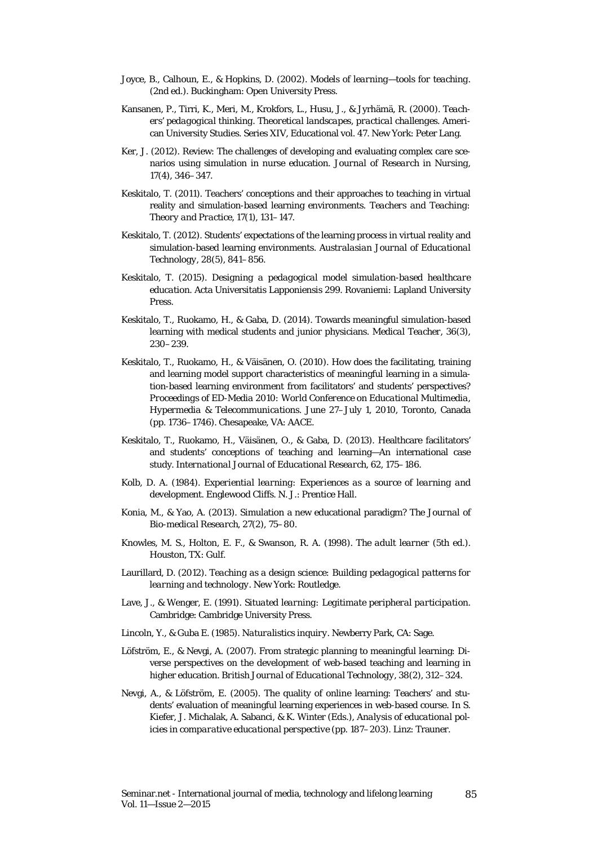- Joyce, B., Calhoun, E., & Hopkins, D. (2002). *Models of learning—tools for teaching.* (2nd ed.). Buckingham: Open University Press.
- Kansanen, P., Tirri, K., Meri, M., Krokfors, L., Husu, J., & Jyrhämä, R. (2000). *Teachers' pedagogical thinking. Theoretical landscapes, practical challenges.* American University Studies. Series XIV, Educational vol. 47. New York: Peter Lang.
- Ker, J. (2012). Review: The challenges of developing and evaluating complex care scenarios using simulation in nurse education. *Journal of Research in Nursing, 17*(4), 346–347.
- Keskitalo, T. (2011). Teachers' conceptions and their approaches to teaching in virtual reality and simulation-based learning environments*. Teachers and Teaching: Theory and Practice, 17*(1), 131–147.
- Keskitalo, T. (2012). Students' expectations of the learning process in virtual reality and simulation-based learning environments. *Australasian Journal of Educational Technology, 28*(5), 841–856.
- Keskitalo, T. (2015). *Designing a pedagogical model simulation-based healthcare education.* Acta Universitatis Lapponiensis 299. Rovaniemi: Lapland University Press.
- Keskitalo, T., Ruokamo, H., & Gaba, D. (2014). Towards meaningful simulation-based learning with medical students and junior physicians. *Medical Teacher, 36*(3), 230–239.
- Keskitalo, T., Ruokamo, H., & Väisänen, O. (2010). How does the facilitating, training and learning model support characteristics of meaningful learning in a simulation-based learning environment from facilitators' and students' perspectives? *Proceedings of ED-Media 2010: World Conference on Educational Multimedia, Hypermedia & Telecommunications.* June 27–July 1, 2010, Toronto, Canada (pp. 1736–1746). Chesapeake, VA: AACE.
- Keskitalo, T., Ruokamo, H., Väisänen, O., & Gaba, D. (2013). Healthcare facilitators' and students' conceptions of teaching and learning—An international case study. *International Journal of Educational Research, 62*, 175–186.
- Kolb, D. A. (1984). *Experiential learning: Experiences as a source of learning and development.* Englewood Cliffs. N. J.: Prentice Hall.
- Konia, M., & Yao, A. (2013). Simulation a new educational paradigm? *The Journal of Bio-medical Research, 27*(2), 75–80.
- Knowles, M. S., Holton, E. F., & Swanson, R. A. (1998). *The adult learner* (5th ed.). Houston, TX: Gulf.
- Laurillard, D. (2012). *Teaching as a design science: Building pedagogical patterns for learning and technology.* New York: Routledge.
- Lave, J., & Wenger, E. (1991). *Situated learning: Legitimate peripheral participation.* Cambridge: Cambridge University Press.
- Lincoln, Y., & Guba E. (1985). *Naturalistics inquiry.* Newberry Park, CA: Sage.
- Löfström, E., & Nevgi, A. (2007). From strategic planning to meaningful learning: Diverse perspectives on the development of web-based teaching and learning in higher education. *British Journal of Educational Technology, 38*(2)*,* 312–324.
- Nevgi, A., & Löfström, E. (2005). The quality of online learning: Teachers' and students' evaluation of meaningful learning experiences in web-based course. In S. Kiefer, J. Michalak, A. Sabanci, & K. Winter (Eds.), *Analysis of educational policies in comparative educational perspective* (pp. 187–203). Linz: Trauner.